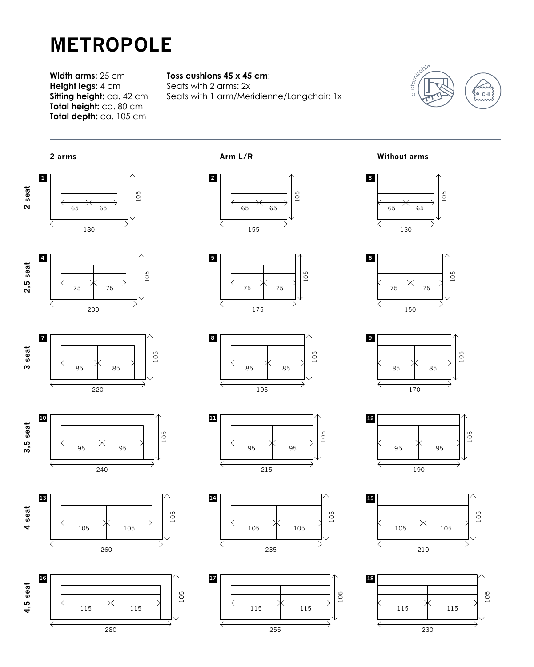## **METROPOLE**

**Width arms:** 25 cm **Height legs:** 4 cm **Sitting height:** ca. 42 cm **Total height:** ca. 80 cm **Total depth:** ca. 105 cm

## **Toss cushions 45 x 45 cm**:

Seats with 2 arms: 2x Seats with 1 arm/Meridienne/Longchair: 1x



















**Arm L/R Without arms**